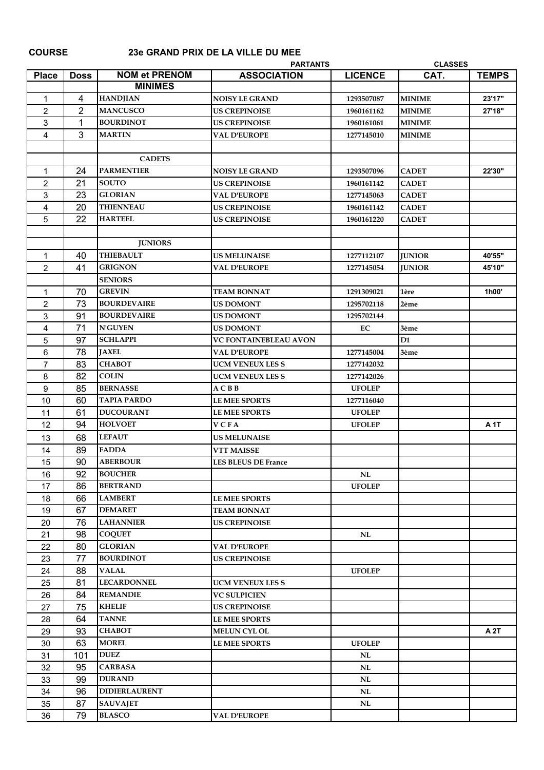**COURSE 23e GRAND PRIX DE LA VILLE DU MEE**

| <b>Place</b><br><b>NOM et PRENOM</b><br><b>ASSOCIATION</b><br>CAT.<br><b>TEMPS</b><br><b>Doss</b><br><b>LICENCE</b><br><b>MINIMES</b><br><b>HANDJIAN</b><br>4<br>1293507087<br><b>MINIME</b><br>23'17"<br><b>NOISY LE GRAND</b><br>1<br>$\overline{2}$<br><b>MANCUSCO</b><br>27'18"<br>2<br><b>US CREPINOISE</b><br><b>MINIME</b><br>1960161162<br>1<br>3<br><b>BOURDINOT</b><br><b>US CREPINOISE</b><br><b>MINIME</b><br>1960161061<br>3<br>4<br><b>MARTIN</b><br><b>VAL D'EUROPE</b><br>1277145010<br><b>MINIME</b><br><b>CADETS</b><br>24<br><b>PARMENTIER</b><br><b>CADET</b><br>22'30"<br>$\mathbf 1$<br><b>NOISY LE GRAND</b><br>1293507096<br>21<br>2<br><b>SOUTO</b><br><b>US CREPINOISE</b><br><b>CADET</b><br>1960161142<br>23<br>3<br><b>GLORIAN</b><br><b>VAL D'EUROPE</b><br><b>CADET</b><br>1277145063<br>20<br><b>THIENNEAU</b><br>4<br><b>US CREPINOISE</b><br>1960161142<br><b>CADET</b><br>22<br>5<br><b>HARTEEL</b><br><b>US CREPINOISE</b><br>1960161220<br><b>CADET</b><br><b>JUNIORS</b><br><b>THIEBAULT</b><br>40<br>40'55"<br>1<br><b>US MELUNAISE</b><br>1277112107<br><b>JUNIOR</b><br><b>GRIGNON</b><br>2<br>41<br><b>VAL D'EUROPE</b><br>1277145054<br>45'10"<br><b>JUNIOR</b><br><b>SENIORS</b><br>70<br><b>GREVIN</b><br><b>TEAM BONNAT</b><br>1h00'<br>$\mathbf 1$<br>1291309021<br>1ère<br>73<br>$\overline{c}$<br><b>BOURDEVAIRE</b><br><b>US DOMONT</b><br>1295702118<br>2ème<br>91<br>3<br><b>BOURDEVAIRE</b><br><b>US DOMONT</b><br>1295702144<br>71<br><b>N'GUYEN</b><br>4<br><b>US DOMONT</b><br>EC<br>3ème<br>5<br>97<br><b>SCHLAPPI</b><br>D <sub>1</sub><br><b>VC FONTAINEBLEAU AVON</b><br>78<br><b>JAXEL</b><br><b>VAL D'EUROPE</b><br>1277145004<br>6<br>3ème<br>83<br>$\overline{7}$<br><b>CHABOT</b><br><b>UCM VENEUX LES S</b><br>1277142032<br>82<br><b>COLIN</b><br>8<br><b>UCM VENEUX LES S</b><br>1277142026<br>85<br>9<br><b>BERNASSE</b><br>A C B B<br><b>UFOLEP</b><br>60<br><b>TAPIA PARDO</b><br><b>LE MEE SPORTS</b><br>10<br>1277116040<br>61<br><b>DUCOURANT</b><br><b>LE MEE SPORTS</b><br><b>UFOLEP</b><br>11<br>94<br><b>HOLVOET</b><br><b>VCFA</b><br>12<br><b>UFOLEP</b><br><b>A</b> 1T<br><b>LEFAUT</b><br>68<br><b>US MELUNAISE</b><br>13<br><b>FADDA</b><br>89<br><b>VTT MAISSE</b><br>14<br>90<br><b>ABERBOUR</b><br>15<br><b>LES BLEUS DE France</b><br><b>BOUCHER</b><br>92<br>$\mathbf{NL}$<br>16<br>86<br>17<br><b>BERTRAND</b><br><b>UFOLEP</b><br>66<br><b>LAMBERT</b><br>18<br><b>LE MEE SPORTS</b><br><b>DEMARET</b><br>67<br>19<br><b>TEAM BONNAT</b><br>76<br><b>LAHANNIER</b><br>20<br><b>US CREPINOISE</b><br>98<br><b>COQUET</b><br>21<br>NL<br>22<br>80<br><b>GLORIAN</b><br><b>VAL D'EUROPE</b><br><b>BOURDINOT</b><br>77<br>23<br><b>US CREPINOISE</b><br>24<br>88<br><b>VALAL</b><br><b>UFOLEP</b><br>81<br><b>LECARDONNEL</b><br>25<br><b>UCM VENEUX LES S</b><br>26<br>84<br><b>REMANDIE</b><br><b>VC SULPICIEN</b><br>75<br><b>KHELIF</b><br>27<br><b>US CREPINOISE</b><br><b>TANNE</b><br>64<br>28<br><b>LE MEE SPORTS</b><br>93<br>29<br><b>CHABOT</b><br><b>MELUN CYL OL</b><br>A 2T<br>63<br><b>MOREL</b><br><b>UFOLEP</b><br>30<br><b>LE MEE SPORTS</b><br>31<br>101<br><b>DUEZ</b><br>NL<br>32<br>95<br><b>CARBASA</b><br>NL<br><b>DURAND</b><br>99<br>33<br>NL<br>96<br><b>DIDIERLAURENT</b><br>34<br>NL<br>87<br>35<br><b>SAUVAJET</b><br>NL<br><b>BLASCO</b><br>36<br>79<br><b>VAL D'EUROPE</b> |  | <b>PARTANTS</b> | <b>CLASSES</b> |  |
|--------------------------------------------------------------------------------------------------------------------------------------------------------------------------------------------------------------------------------------------------------------------------------------------------------------------------------------------------------------------------------------------------------------------------------------------------------------------------------------------------------------------------------------------------------------------------------------------------------------------------------------------------------------------------------------------------------------------------------------------------------------------------------------------------------------------------------------------------------------------------------------------------------------------------------------------------------------------------------------------------------------------------------------------------------------------------------------------------------------------------------------------------------------------------------------------------------------------------------------------------------------------------------------------------------------------------------------------------------------------------------------------------------------------------------------------------------------------------------------------------------------------------------------------------------------------------------------------------------------------------------------------------------------------------------------------------------------------------------------------------------------------------------------------------------------------------------------------------------------------------------------------------------------------------------------------------------------------------------------------------------------------------------------------------------------------------------------------------------------------------------------------------------------------------------------------------------------------------------------------------------------------------------------------------------------------------------------------------------------------------------------------------------------------------------------------------------------------------------------------------------------------------------------------------------------------------------------------------------------------------------------------------------------------------------------------------------------------------------------------------------------------------------------------------------------------------------------------------------------------------------------------------------------------------------------------------------------------------------------------------------------------------------------------------------------------------------------------------------------------------------------------------------------------------------------------------------------------------------------------------------------------------------------------------------------------------------------------------------------------------------------------------|--|-----------------|----------------|--|
|                                                                                                                                                                                                                                                                                                                                                                                                                                                                                                                                                                                                                                                                                                                                                                                                                                                                                                                                                                                                                                                                                                                                                                                                                                                                                                                                                                                                                                                                                                                                                                                                                                                                                                                                                                                                                                                                                                                                                                                                                                                                                                                                                                                                                                                                                                                                                                                                                                                                                                                                                                                                                                                                                                                                                                                                                                                                                                                                                                                                                                                                                                                                                                                                                                                                                                                                                                                                  |  |                 |                |  |
|                                                                                                                                                                                                                                                                                                                                                                                                                                                                                                                                                                                                                                                                                                                                                                                                                                                                                                                                                                                                                                                                                                                                                                                                                                                                                                                                                                                                                                                                                                                                                                                                                                                                                                                                                                                                                                                                                                                                                                                                                                                                                                                                                                                                                                                                                                                                                                                                                                                                                                                                                                                                                                                                                                                                                                                                                                                                                                                                                                                                                                                                                                                                                                                                                                                                                                                                                                                                  |  |                 |                |  |
|                                                                                                                                                                                                                                                                                                                                                                                                                                                                                                                                                                                                                                                                                                                                                                                                                                                                                                                                                                                                                                                                                                                                                                                                                                                                                                                                                                                                                                                                                                                                                                                                                                                                                                                                                                                                                                                                                                                                                                                                                                                                                                                                                                                                                                                                                                                                                                                                                                                                                                                                                                                                                                                                                                                                                                                                                                                                                                                                                                                                                                                                                                                                                                                                                                                                                                                                                                                                  |  |                 |                |  |
|                                                                                                                                                                                                                                                                                                                                                                                                                                                                                                                                                                                                                                                                                                                                                                                                                                                                                                                                                                                                                                                                                                                                                                                                                                                                                                                                                                                                                                                                                                                                                                                                                                                                                                                                                                                                                                                                                                                                                                                                                                                                                                                                                                                                                                                                                                                                                                                                                                                                                                                                                                                                                                                                                                                                                                                                                                                                                                                                                                                                                                                                                                                                                                                                                                                                                                                                                                                                  |  |                 |                |  |
|                                                                                                                                                                                                                                                                                                                                                                                                                                                                                                                                                                                                                                                                                                                                                                                                                                                                                                                                                                                                                                                                                                                                                                                                                                                                                                                                                                                                                                                                                                                                                                                                                                                                                                                                                                                                                                                                                                                                                                                                                                                                                                                                                                                                                                                                                                                                                                                                                                                                                                                                                                                                                                                                                                                                                                                                                                                                                                                                                                                                                                                                                                                                                                                                                                                                                                                                                                                                  |  |                 |                |  |
|                                                                                                                                                                                                                                                                                                                                                                                                                                                                                                                                                                                                                                                                                                                                                                                                                                                                                                                                                                                                                                                                                                                                                                                                                                                                                                                                                                                                                                                                                                                                                                                                                                                                                                                                                                                                                                                                                                                                                                                                                                                                                                                                                                                                                                                                                                                                                                                                                                                                                                                                                                                                                                                                                                                                                                                                                                                                                                                                                                                                                                                                                                                                                                                                                                                                                                                                                                                                  |  |                 |                |  |
|                                                                                                                                                                                                                                                                                                                                                                                                                                                                                                                                                                                                                                                                                                                                                                                                                                                                                                                                                                                                                                                                                                                                                                                                                                                                                                                                                                                                                                                                                                                                                                                                                                                                                                                                                                                                                                                                                                                                                                                                                                                                                                                                                                                                                                                                                                                                                                                                                                                                                                                                                                                                                                                                                                                                                                                                                                                                                                                                                                                                                                                                                                                                                                                                                                                                                                                                                                                                  |  |                 |                |  |
|                                                                                                                                                                                                                                                                                                                                                                                                                                                                                                                                                                                                                                                                                                                                                                                                                                                                                                                                                                                                                                                                                                                                                                                                                                                                                                                                                                                                                                                                                                                                                                                                                                                                                                                                                                                                                                                                                                                                                                                                                                                                                                                                                                                                                                                                                                                                                                                                                                                                                                                                                                                                                                                                                                                                                                                                                                                                                                                                                                                                                                                                                                                                                                                                                                                                                                                                                                                                  |  |                 |                |  |
|                                                                                                                                                                                                                                                                                                                                                                                                                                                                                                                                                                                                                                                                                                                                                                                                                                                                                                                                                                                                                                                                                                                                                                                                                                                                                                                                                                                                                                                                                                                                                                                                                                                                                                                                                                                                                                                                                                                                                                                                                                                                                                                                                                                                                                                                                                                                                                                                                                                                                                                                                                                                                                                                                                                                                                                                                                                                                                                                                                                                                                                                                                                                                                                                                                                                                                                                                                                                  |  |                 |                |  |
|                                                                                                                                                                                                                                                                                                                                                                                                                                                                                                                                                                                                                                                                                                                                                                                                                                                                                                                                                                                                                                                                                                                                                                                                                                                                                                                                                                                                                                                                                                                                                                                                                                                                                                                                                                                                                                                                                                                                                                                                                                                                                                                                                                                                                                                                                                                                                                                                                                                                                                                                                                                                                                                                                                                                                                                                                                                                                                                                                                                                                                                                                                                                                                                                                                                                                                                                                                                                  |  |                 |                |  |
|                                                                                                                                                                                                                                                                                                                                                                                                                                                                                                                                                                                                                                                                                                                                                                                                                                                                                                                                                                                                                                                                                                                                                                                                                                                                                                                                                                                                                                                                                                                                                                                                                                                                                                                                                                                                                                                                                                                                                                                                                                                                                                                                                                                                                                                                                                                                                                                                                                                                                                                                                                                                                                                                                                                                                                                                                                                                                                                                                                                                                                                                                                                                                                                                                                                                                                                                                                                                  |  |                 |                |  |
|                                                                                                                                                                                                                                                                                                                                                                                                                                                                                                                                                                                                                                                                                                                                                                                                                                                                                                                                                                                                                                                                                                                                                                                                                                                                                                                                                                                                                                                                                                                                                                                                                                                                                                                                                                                                                                                                                                                                                                                                                                                                                                                                                                                                                                                                                                                                                                                                                                                                                                                                                                                                                                                                                                                                                                                                                                                                                                                                                                                                                                                                                                                                                                                                                                                                                                                                                                                                  |  |                 |                |  |
|                                                                                                                                                                                                                                                                                                                                                                                                                                                                                                                                                                                                                                                                                                                                                                                                                                                                                                                                                                                                                                                                                                                                                                                                                                                                                                                                                                                                                                                                                                                                                                                                                                                                                                                                                                                                                                                                                                                                                                                                                                                                                                                                                                                                                                                                                                                                                                                                                                                                                                                                                                                                                                                                                                                                                                                                                                                                                                                                                                                                                                                                                                                                                                                                                                                                                                                                                                                                  |  |                 |                |  |
|                                                                                                                                                                                                                                                                                                                                                                                                                                                                                                                                                                                                                                                                                                                                                                                                                                                                                                                                                                                                                                                                                                                                                                                                                                                                                                                                                                                                                                                                                                                                                                                                                                                                                                                                                                                                                                                                                                                                                                                                                                                                                                                                                                                                                                                                                                                                                                                                                                                                                                                                                                                                                                                                                                                                                                                                                                                                                                                                                                                                                                                                                                                                                                                                                                                                                                                                                                                                  |  |                 |                |  |
|                                                                                                                                                                                                                                                                                                                                                                                                                                                                                                                                                                                                                                                                                                                                                                                                                                                                                                                                                                                                                                                                                                                                                                                                                                                                                                                                                                                                                                                                                                                                                                                                                                                                                                                                                                                                                                                                                                                                                                                                                                                                                                                                                                                                                                                                                                                                                                                                                                                                                                                                                                                                                                                                                                                                                                                                                                                                                                                                                                                                                                                                                                                                                                                                                                                                                                                                                                                                  |  |                 |                |  |
|                                                                                                                                                                                                                                                                                                                                                                                                                                                                                                                                                                                                                                                                                                                                                                                                                                                                                                                                                                                                                                                                                                                                                                                                                                                                                                                                                                                                                                                                                                                                                                                                                                                                                                                                                                                                                                                                                                                                                                                                                                                                                                                                                                                                                                                                                                                                                                                                                                                                                                                                                                                                                                                                                                                                                                                                                                                                                                                                                                                                                                                                                                                                                                                                                                                                                                                                                                                                  |  |                 |                |  |
|                                                                                                                                                                                                                                                                                                                                                                                                                                                                                                                                                                                                                                                                                                                                                                                                                                                                                                                                                                                                                                                                                                                                                                                                                                                                                                                                                                                                                                                                                                                                                                                                                                                                                                                                                                                                                                                                                                                                                                                                                                                                                                                                                                                                                                                                                                                                                                                                                                                                                                                                                                                                                                                                                                                                                                                                                                                                                                                                                                                                                                                                                                                                                                                                                                                                                                                                                                                                  |  |                 |                |  |
|                                                                                                                                                                                                                                                                                                                                                                                                                                                                                                                                                                                                                                                                                                                                                                                                                                                                                                                                                                                                                                                                                                                                                                                                                                                                                                                                                                                                                                                                                                                                                                                                                                                                                                                                                                                                                                                                                                                                                                                                                                                                                                                                                                                                                                                                                                                                                                                                                                                                                                                                                                                                                                                                                                                                                                                                                                                                                                                                                                                                                                                                                                                                                                                                                                                                                                                                                                                                  |  |                 |                |  |
|                                                                                                                                                                                                                                                                                                                                                                                                                                                                                                                                                                                                                                                                                                                                                                                                                                                                                                                                                                                                                                                                                                                                                                                                                                                                                                                                                                                                                                                                                                                                                                                                                                                                                                                                                                                                                                                                                                                                                                                                                                                                                                                                                                                                                                                                                                                                                                                                                                                                                                                                                                                                                                                                                                                                                                                                                                                                                                                                                                                                                                                                                                                                                                                                                                                                                                                                                                                                  |  |                 |                |  |
|                                                                                                                                                                                                                                                                                                                                                                                                                                                                                                                                                                                                                                                                                                                                                                                                                                                                                                                                                                                                                                                                                                                                                                                                                                                                                                                                                                                                                                                                                                                                                                                                                                                                                                                                                                                                                                                                                                                                                                                                                                                                                                                                                                                                                                                                                                                                                                                                                                                                                                                                                                                                                                                                                                                                                                                                                                                                                                                                                                                                                                                                                                                                                                                                                                                                                                                                                                                                  |  |                 |                |  |
|                                                                                                                                                                                                                                                                                                                                                                                                                                                                                                                                                                                                                                                                                                                                                                                                                                                                                                                                                                                                                                                                                                                                                                                                                                                                                                                                                                                                                                                                                                                                                                                                                                                                                                                                                                                                                                                                                                                                                                                                                                                                                                                                                                                                                                                                                                                                                                                                                                                                                                                                                                                                                                                                                                                                                                                                                                                                                                                                                                                                                                                                                                                                                                                                                                                                                                                                                                                                  |  |                 |                |  |
|                                                                                                                                                                                                                                                                                                                                                                                                                                                                                                                                                                                                                                                                                                                                                                                                                                                                                                                                                                                                                                                                                                                                                                                                                                                                                                                                                                                                                                                                                                                                                                                                                                                                                                                                                                                                                                                                                                                                                                                                                                                                                                                                                                                                                                                                                                                                                                                                                                                                                                                                                                                                                                                                                                                                                                                                                                                                                                                                                                                                                                                                                                                                                                                                                                                                                                                                                                                                  |  |                 |                |  |
|                                                                                                                                                                                                                                                                                                                                                                                                                                                                                                                                                                                                                                                                                                                                                                                                                                                                                                                                                                                                                                                                                                                                                                                                                                                                                                                                                                                                                                                                                                                                                                                                                                                                                                                                                                                                                                                                                                                                                                                                                                                                                                                                                                                                                                                                                                                                                                                                                                                                                                                                                                                                                                                                                                                                                                                                                                                                                                                                                                                                                                                                                                                                                                                                                                                                                                                                                                                                  |  |                 |                |  |
|                                                                                                                                                                                                                                                                                                                                                                                                                                                                                                                                                                                                                                                                                                                                                                                                                                                                                                                                                                                                                                                                                                                                                                                                                                                                                                                                                                                                                                                                                                                                                                                                                                                                                                                                                                                                                                                                                                                                                                                                                                                                                                                                                                                                                                                                                                                                                                                                                                                                                                                                                                                                                                                                                                                                                                                                                                                                                                                                                                                                                                                                                                                                                                                                                                                                                                                                                                                                  |  |                 |                |  |
|                                                                                                                                                                                                                                                                                                                                                                                                                                                                                                                                                                                                                                                                                                                                                                                                                                                                                                                                                                                                                                                                                                                                                                                                                                                                                                                                                                                                                                                                                                                                                                                                                                                                                                                                                                                                                                                                                                                                                                                                                                                                                                                                                                                                                                                                                                                                                                                                                                                                                                                                                                                                                                                                                                                                                                                                                                                                                                                                                                                                                                                                                                                                                                                                                                                                                                                                                                                                  |  |                 |                |  |
|                                                                                                                                                                                                                                                                                                                                                                                                                                                                                                                                                                                                                                                                                                                                                                                                                                                                                                                                                                                                                                                                                                                                                                                                                                                                                                                                                                                                                                                                                                                                                                                                                                                                                                                                                                                                                                                                                                                                                                                                                                                                                                                                                                                                                                                                                                                                                                                                                                                                                                                                                                                                                                                                                                                                                                                                                                                                                                                                                                                                                                                                                                                                                                                                                                                                                                                                                                                                  |  |                 |                |  |
|                                                                                                                                                                                                                                                                                                                                                                                                                                                                                                                                                                                                                                                                                                                                                                                                                                                                                                                                                                                                                                                                                                                                                                                                                                                                                                                                                                                                                                                                                                                                                                                                                                                                                                                                                                                                                                                                                                                                                                                                                                                                                                                                                                                                                                                                                                                                                                                                                                                                                                                                                                                                                                                                                                                                                                                                                                                                                                                                                                                                                                                                                                                                                                                                                                                                                                                                                                                                  |  |                 |                |  |
|                                                                                                                                                                                                                                                                                                                                                                                                                                                                                                                                                                                                                                                                                                                                                                                                                                                                                                                                                                                                                                                                                                                                                                                                                                                                                                                                                                                                                                                                                                                                                                                                                                                                                                                                                                                                                                                                                                                                                                                                                                                                                                                                                                                                                                                                                                                                                                                                                                                                                                                                                                                                                                                                                                                                                                                                                                                                                                                                                                                                                                                                                                                                                                                                                                                                                                                                                                                                  |  |                 |                |  |
|                                                                                                                                                                                                                                                                                                                                                                                                                                                                                                                                                                                                                                                                                                                                                                                                                                                                                                                                                                                                                                                                                                                                                                                                                                                                                                                                                                                                                                                                                                                                                                                                                                                                                                                                                                                                                                                                                                                                                                                                                                                                                                                                                                                                                                                                                                                                                                                                                                                                                                                                                                                                                                                                                                                                                                                                                                                                                                                                                                                                                                                                                                                                                                                                                                                                                                                                                                                                  |  |                 |                |  |
|                                                                                                                                                                                                                                                                                                                                                                                                                                                                                                                                                                                                                                                                                                                                                                                                                                                                                                                                                                                                                                                                                                                                                                                                                                                                                                                                                                                                                                                                                                                                                                                                                                                                                                                                                                                                                                                                                                                                                                                                                                                                                                                                                                                                                                                                                                                                                                                                                                                                                                                                                                                                                                                                                                                                                                                                                                                                                                                                                                                                                                                                                                                                                                                                                                                                                                                                                                                                  |  |                 |                |  |
|                                                                                                                                                                                                                                                                                                                                                                                                                                                                                                                                                                                                                                                                                                                                                                                                                                                                                                                                                                                                                                                                                                                                                                                                                                                                                                                                                                                                                                                                                                                                                                                                                                                                                                                                                                                                                                                                                                                                                                                                                                                                                                                                                                                                                                                                                                                                                                                                                                                                                                                                                                                                                                                                                                                                                                                                                                                                                                                                                                                                                                                                                                                                                                                                                                                                                                                                                                                                  |  |                 |                |  |
|                                                                                                                                                                                                                                                                                                                                                                                                                                                                                                                                                                                                                                                                                                                                                                                                                                                                                                                                                                                                                                                                                                                                                                                                                                                                                                                                                                                                                                                                                                                                                                                                                                                                                                                                                                                                                                                                                                                                                                                                                                                                                                                                                                                                                                                                                                                                                                                                                                                                                                                                                                                                                                                                                                                                                                                                                                                                                                                                                                                                                                                                                                                                                                                                                                                                                                                                                                                                  |  |                 |                |  |
|                                                                                                                                                                                                                                                                                                                                                                                                                                                                                                                                                                                                                                                                                                                                                                                                                                                                                                                                                                                                                                                                                                                                                                                                                                                                                                                                                                                                                                                                                                                                                                                                                                                                                                                                                                                                                                                                                                                                                                                                                                                                                                                                                                                                                                                                                                                                                                                                                                                                                                                                                                                                                                                                                                                                                                                                                                                                                                                                                                                                                                                                                                                                                                                                                                                                                                                                                                                                  |  |                 |                |  |
|                                                                                                                                                                                                                                                                                                                                                                                                                                                                                                                                                                                                                                                                                                                                                                                                                                                                                                                                                                                                                                                                                                                                                                                                                                                                                                                                                                                                                                                                                                                                                                                                                                                                                                                                                                                                                                                                                                                                                                                                                                                                                                                                                                                                                                                                                                                                                                                                                                                                                                                                                                                                                                                                                                                                                                                                                                                                                                                                                                                                                                                                                                                                                                                                                                                                                                                                                                                                  |  |                 |                |  |
|                                                                                                                                                                                                                                                                                                                                                                                                                                                                                                                                                                                                                                                                                                                                                                                                                                                                                                                                                                                                                                                                                                                                                                                                                                                                                                                                                                                                                                                                                                                                                                                                                                                                                                                                                                                                                                                                                                                                                                                                                                                                                                                                                                                                                                                                                                                                                                                                                                                                                                                                                                                                                                                                                                                                                                                                                                                                                                                                                                                                                                                                                                                                                                                                                                                                                                                                                                                                  |  |                 |                |  |
|                                                                                                                                                                                                                                                                                                                                                                                                                                                                                                                                                                                                                                                                                                                                                                                                                                                                                                                                                                                                                                                                                                                                                                                                                                                                                                                                                                                                                                                                                                                                                                                                                                                                                                                                                                                                                                                                                                                                                                                                                                                                                                                                                                                                                                                                                                                                                                                                                                                                                                                                                                                                                                                                                                                                                                                                                                                                                                                                                                                                                                                                                                                                                                                                                                                                                                                                                                                                  |  |                 |                |  |
|                                                                                                                                                                                                                                                                                                                                                                                                                                                                                                                                                                                                                                                                                                                                                                                                                                                                                                                                                                                                                                                                                                                                                                                                                                                                                                                                                                                                                                                                                                                                                                                                                                                                                                                                                                                                                                                                                                                                                                                                                                                                                                                                                                                                                                                                                                                                                                                                                                                                                                                                                                                                                                                                                                                                                                                                                                                                                                                                                                                                                                                                                                                                                                                                                                                                                                                                                                                                  |  |                 |                |  |
|                                                                                                                                                                                                                                                                                                                                                                                                                                                                                                                                                                                                                                                                                                                                                                                                                                                                                                                                                                                                                                                                                                                                                                                                                                                                                                                                                                                                                                                                                                                                                                                                                                                                                                                                                                                                                                                                                                                                                                                                                                                                                                                                                                                                                                                                                                                                                                                                                                                                                                                                                                                                                                                                                                                                                                                                                                                                                                                                                                                                                                                                                                                                                                                                                                                                                                                                                                                                  |  |                 |                |  |
|                                                                                                                                                                                                                                                                                                                                                                                                                                                                                                                                                                                                                                                                                                                                                                                                                                                                                                                                                                                                                                                                                                                                                                                                                                                                                                                                                                                                                                                                                                                                                                                                                                                                                                                                                                                                                                                                                                                                                                                                                                                                                                                                                                                                                                                                                                                                                                                                                                                                                                                                                                                                                                                                                                                                                                                                                                                                                                                                                                                                                                                                                                                                                                                                                                                                                                                                                                                                  |  |                 |                |  |
|                                                                                                                                                                                                                                                                                                                                                                                                                                                                                                                                                                                                                                                                                                                                                                                                                                                                                                                                                                                                                                                                                                                                                                                                                                                                                                                                                                                                                                                                                                                                                                                                                                                                                                                                                                                                                                                                                                                                                                                                                                                                                                                                                                                                                                                                                                                                                                                                                                                                                                                                                                                                                                                                                                                                                                                                                                                                                                                                                                                                                                                                                                                                                                                                                                                                                                                                                                                                  |  |                 |                |  |
|                                                                                                                                                                                                                                                                                                                                                                                                                                                                                                                                                                                                                                                                                                                                                                                                                                                                                                                                                                                                                                                                                                                                                                                                                                                                                                                                                                                                                                                                                                                                                                                                                                                                                                                                                                                                                                                                                                                                                                                                                                                                                                                                                                                                                                                                                                                                                                                                                                                                                                                                                                                                                                                                                                                                                                                                                                                                                                                                                                                                                                                                                                                                                                                                                                                                                                                                                                                                  |  |                 |                |  |
|                                                                                                                                                                                                                                                                                                                                                                                                                                                                                                                                                                                                                                                                                                                                                                                                                                                                                                                                                                                                                                                                                                                                                                                                                                                                                                                                                                                                                                                                                                                                                                                                                                                                                                                                                                                                                                                                                                                                                                                                                                                                                                                                                                                                                                                                                                                                                                                                                                                                                                                                                                                                                                                                                                                                                                                                                                                                                                                                                                                                                                                                                                                                                                                                                                                                                                                                                                                                  |  |                 |                |  |
|                                                                                                                                                                                                                                                                                                                                                                                                                                                                                                                                                                                                                                                                                                                                                                                                                                                                                                                                                                                                                                                                                                                                                                                                                                                                                                                                                                                                                                                                                                                                                                                                                                                                                                                                                                                                                                                                                                                                                                                                                                                                                                                                                                                                                                                                                                                                                                                                                                                                                                                                                                                                                                                                                                                                                                                                                                                                                                                                                                                                                                                                                                                                                                                                                                                                                                                                                                                                  |  |                 |                |  |
|                                                                                                                                                                                                                                                                                                                                                                                                                                                                                                                                                                                                                                                                                                                                                                                                                                                                                                                                                                                                                                                                                                                                                                                                                                                                                                                                                                                                                                                                                                                                                                                                                                                                                                                                                                                                                                                                                                                                                                                                                                                                                                                                                                                                                                                                                                                                                                                                                                                                                                                                                                                                                                                                                                                                                                                                                                                                                                                                                                                                                                                                                                                                                                                                                                                                                                                                                                                                  |  |                 |                |  |
|                                                                                                                                                                                                                                                                                                                                                                                                                                                                                                                                                                                                                                                                                                                                                                                                                                                                                                                                                                                                                                                                                                                                                                                                                                                                                                                                                                                                                                                                                                                                                                                                                                                                                                                                                                                                                                                                                                                                                                                                                                                                                                                                                                                                                                                                                                                                                                                                                                                                                                                                                                                                                                                                                                                                                                                                                                                                                                                                                                                                                                                                                                                                                                                                                                                                                                                                                                                                  |  |                 |                |  |
|                                                                                                                                                                                                                                                                                                                                                                                                                                                                                                                                                                                                                                                                                                                                                                                                                                                                                                                                                                                                                                                                                                                                                                                                                                                                                                                                                                                                                                                                                                                                                                                                                                                                                                                                                                                                                                                                                                                                                                                                                                                                                                                                                                                                                                                                                                                                                                                                                                                                                                                                                                                                                                                                                                                                                                                                                                                                                                                                                                                                                                                                                                                                                                                                                                                                                                                                                                                                  |  |                 |                |  |
|                                                                                                                                                                                                                                                                                                                                                                                                                                                                                                                                                                                                                                                                                                                                                                                                                                                                                                                                                                                                                                                                                                                                                                                                                                                                                                                                                                                                                                                                                                                                                                                                                                                                                                                                                                                                                                                                                                                                                                                                                                                                                                                                                                                                                                                                                                                                                                                                                                                                                                                                                                                                                                                                                                                                                                                                                                                                                                                                                                                                                                                                                                                                                                                                                                                                                                                                                                                                  |  |                 |                |  |
|                                                                                                                                                                                                                                                                                                                                                                                                                                                                                                                                                                                                                                                                                                                                                                                                                                                                                                                                                                                                                                                                                                                                                                                                                                                                                                                                                                                                                                                                                                                                                                                                                                                                                                                                                                                                                                                                                                                                                                                                                                                                                                                                                                                                                                                                                                                                                                                                                                                                                                                                                                                                                                                                                                                                                                                                                                                                                                                                                                                                                                                                                                                                                                                                                                                                                                                                                                                                  |  |                 |                |  |
|                                                                                                                                                                                                                                                                                                                                                                                                                                                                                                                                                                                                                                                                                                                                                                                                                                                                                                                                                                                                                                                                                                                                                                                                                                                                                                                                                                                                                                                                                                                                                                                                                                                                                                                                                                                                                                                                                                                                                                                                                                                                                                                                                                                                                                                                                                                                                                                                                                                                                                                                                                                                                                                                                                                                                                                                                                                                                                                                                                                                                                                                                                                                                                                                                                                                                                                                                                                                  |  |                 |                |  |
|                                                                                                                                                                                                                                                                                                                                                                                                                                                                                                                                                                                                                                                                                                                                                                                                                                                                                                                                                                                                                                                                                                                                                                                                                                                                                                                                                                                                                                                                                                                                                                                                                                                                                                                                                                                                                                                                                                                                                                                                                                                                                                                                                                                                                                                                                                                                                                                                                                                                                                                                                                                                                                                                                                                                                                                                                                                                                                                                                                                                                                                                                                                                                                                                                                                                                                                                                                                                  |  |                 |                |  |
|                                                                                                                                                                                                                                                                                                                                                                                                                                                                                                                                                                                                                                                                                                                                                                                                                                                                                                                                                                                                                                                                                                                                                                                                                                                                                                                                                                                                                                                                                                                                                                                                                                                                                                                                                                                                                                                                                                                                                                                                                                                                                                                                                                                                                                                                                                                                                                                                                                                                                                                                                                                                                                                                                                                                                                                                                                                                                                                                                                                                                                                                                                                                                                                                                                                                                                                                                                                                  |  |                 |                |  |
|                                                                                                                                                                                                                                                                                                                                                                                                                                                                                                                                                                                                                                                                                                                                                                                                                                                                                                                                                                                                                                                                                                                                                                                                                                                                                                                                                                                                                                                                                                                                                                                                                                                                                                                                                                                                                                                                                                                                                                                                                                                                                                                                                                                                                                                                                                                                                                                                                                                                                                                                                                                                                                                                                                                                                                                                                                                                                                                                                                                                                                                                                                                                                                                                                                                                                                                                                                                                  |  |                 |                |  |
|                                                                                                                                                                                                                                                                                                                                                                                                                                                                                                                                                                                                                                                                                                                                                                                                                                                                                                                                                                                                                                                                                                                                                                                                                                                                                                                                                                                                                                                                                                                                                                                                                                                                                                                                                                                                                                                                                                                                                                                                                                                                                                                                                                                                                                                                                                                                                                                                                                                                                                                                                                                                                                                                                                                                                                                                                                                                                                                                                                                                                                                                                                                                                                                                                                                                                                                                                                                                  |  |                 |                |  |
|                                                                                                                                                                                                                                                                                                                                                                                                                                                                                                                                                                                                                                                                                                                                                                                                                                                                                                                                                                                                                                                                                                                                                                                                                                                                                                                                                                                                                                                                                                                                                                                                                                                                                                                                                                                                                                                                                                                                                                                                                                                                                                                                                                                                                                                                                                                                                                                                                                                                                                                                                                                                                                                                                                                                                                                                                                                                                                                                                                                                                                                                                                                                                                                                                                                                                                                                                                                                  |  |                 |                |  |